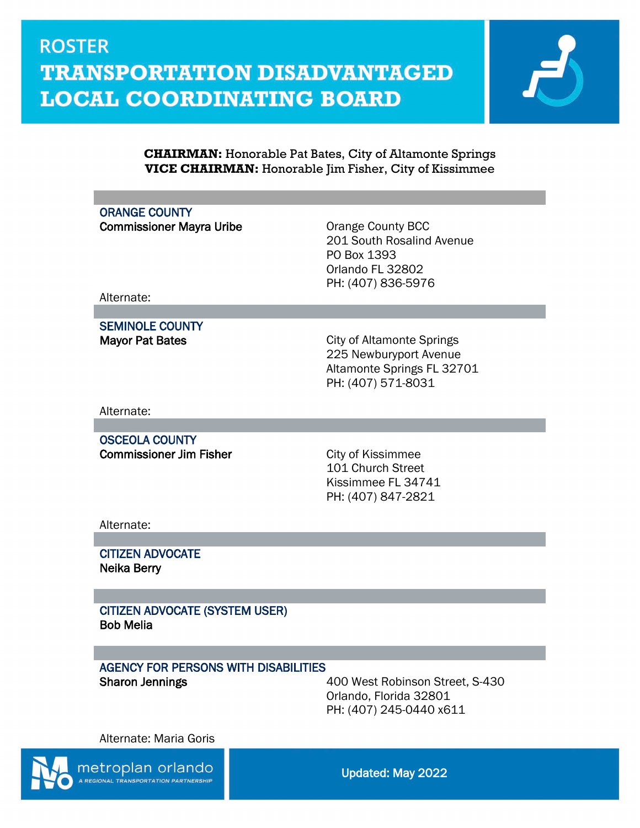

#### **CHAIRMAN:** Honorable Pat Bates, City of Altamonte Springs **VICE CHAIRMAN:** Honorable Jim Fisher, City of Kissimmee

### ORANGE COUNTY

Commissioner Mayra Uribe **Commissioner Mayra Uribe Orange County BCC** 

201 South Rosalind Avenue PO Box 1393 Orlando FL 32802 PH: (407) 836-5976

Alternate:

SEMINOLE COUNTY

Mayor Pat Bates **City of Altamonte Springs** 225 Newburyport Avenue Altamonte Springs FL 32701 PH: (407) 571-8031

Alternate:

OSCEOLA COUNTY **Commissioner Jim Fisher City of Kissimmee** 

101 Church Street Kissimmee FL 34741 PH: (407) 847-2821

Alternate:

CITIZEN ADVOCATE Neika Berry

CITIZEN ADVOCATE (SYSTEM USER) Bob Melia

### AGENCY FOR PERSONS WITH DISABILITIES

Sharon Jennings 400 West Robinson Street, S-430 Orlando, Florida 32801 PH: (407) 245-0440 x611

Alternate: Maria Goris



metroplan orlando

Updated: May 2022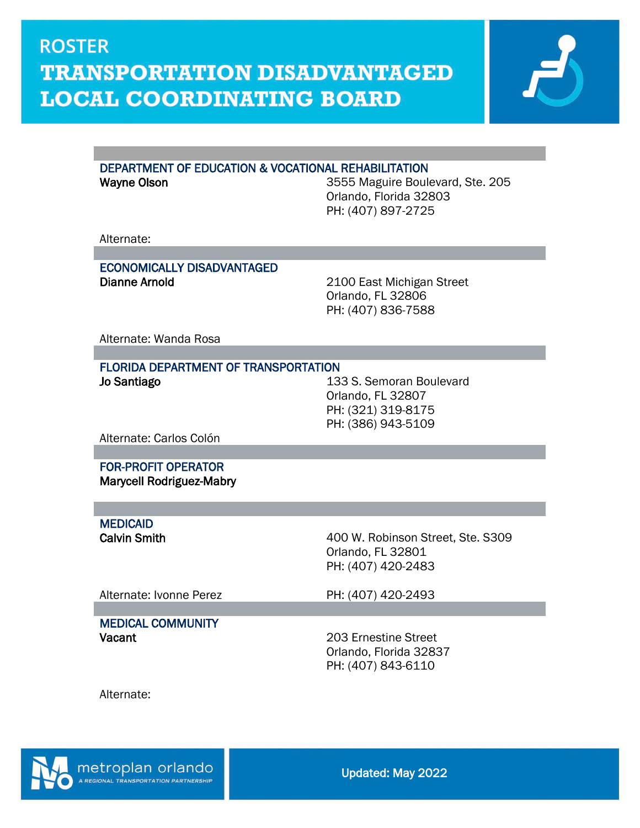

#### DEPARTMENT OF EDUCATION & VOCATIONAL REHABILITATION

Wayne Olson **Wayne Olson** 3555 Maguire Boulevard, Ste. 205 Orlando, Florida 32803 PH: (407) 897-2725

Alternate:

#### ECONOMICALLY DISADVANTAGED Dianne Arnold 2100 East Michigan Street

Orlando, FL 32806 PH: (407) 836-7588

Alternate: Wanda Rosa

#### FLORIDA DEPARTMENT OF TRANSPORTATION

Jo Santiago **133 S.** Semoran Boulevard Orlando, FL 32807 PH: (321) 319-8175 PH: (386) 943-5109

Alternate: Carlos Colón

 FOR-PROFIT OPERATOR Marycell Rodriguez-Mabry

**MEDICAID<br>Calvin Smith** 

400 W. Robinson Street, Ste. S309 Orlando, FL 32801 PH: (407) 420-2483

Alternate: Ivonne Perez PH: (407) 420-2493

MEDICAL COMMUNITY Vacant 203 Ernestine Street

Orlando, Florida 32837 PH: (407) 843-6110

Alternate:

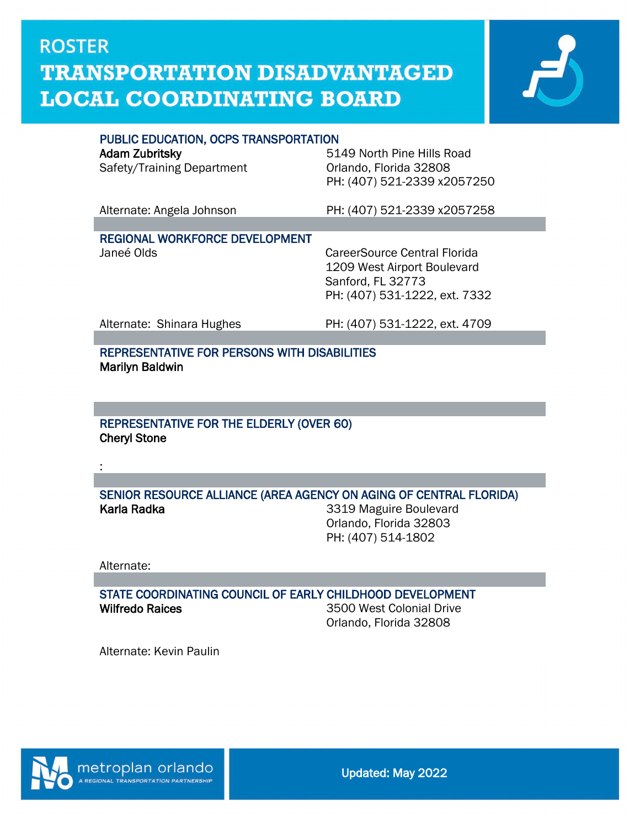

#### PUBLIC EDUCATION, OCPS TRANSPORTATION

| 5149 North Pine Hills Road<br>Orlando, Florida 32808<br>PH: (407) 521-2339 x2057250                               |
|-------------------------------------------------------------------------------------------------------------------|
| PH: (407) 521-2339 x2057258                                                                                       |
|                                                                                                                   |
| CareerSource Central Florida<br>1209 West Airport Boulevard<br>Sanford, FL 32773<br>PH: (407) 531-1222, ext. 7332 |
| PH: (407) 531-1222, ext. 4709                                                                                     |
|                                                                                                                   |
|                                                                                                                   |

REPRESENTATIVE FOR PERSONS WITH DISABILITIES Marilyn Baldwin

#### REPRESENTATIVE FOR THE ELDERLY (OVER 60) Cheryl Stone

SENIOR RESOURCE ALLIANCE (AREA AGENCY ON AGING OF CENTRAL FLORIDA) Karla Radka **3319** Maguire Boulevard

Orlando, Florida 32803 PH: (407) 514-1802

Alternate:

 $\overline{a}$ 

:

STATE COORDINATING COUNCIL OF EARLY CHILDHOOD DEVELOPMENT Wilfredo Raices **3500** West Colonial Drive

Orlando, Florida 32808

Alternate: Kevin Paulin